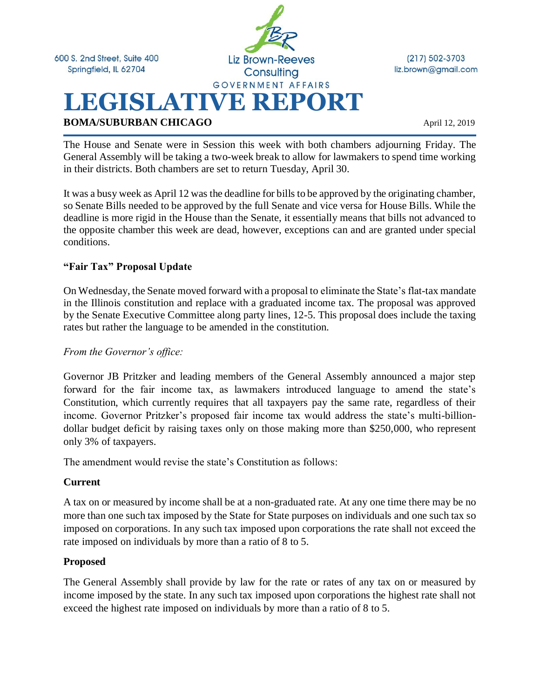600 S. 2nd Street, Suite 400 Springfield, IL 62704



 $(217) 502 - 3703$ liz.brown@gmail.com

**BOMA/SUBURBAN CHICAGO** April 12, 2019

The House and Senate were in Session this week with both chambers adjourning Friday. The General Assembly will be taking a two-week break to allow for lawmakers to spend time working in their districts. Both chambers are set to return Tuesday, April 30.

It was a busy week as April 12 was the deadline for bills to be approved by the originating chamber, so Senate Bills needed to be approved by the full Senate and vice versa for House Bills. While the deadline is more rigid in the House than the Senate, it essentially means that bills not advanced to the opposite chamber this week are dead, however, exceptions can and are granted under special conditions.

### **"Fair Tax" Proposal Update**

On Wednesday, the Senate moved forward with a proposal to eliminate the State's flat-tax mandate in the Illinois constitution and replace with a graduated income tax. The proposal was approved by the Senate Executive Committee along party lines, 12-5. This proposal does include the taxing rates but rather the language to be amended in the constitution.

#### *From the Governor's office:*

Governor JB Pritzker and leading members of the General Assembly announced a major step forward for the fair income tax, as lawmakers introduced language to amend the state's Constitution, which currently requires that all taxpayers pay the same rate, regardless of their income. Governor Pritzker's proposed fair income tax would address the state's multi-billiondollar budget deficit by raising taxes only on those making more than \$250,000, who represent only 3% of taxpayers.

The amendment would revise the state's Constitution as follows:

#### **Current**

A tax on or measured by income shall be at a non-graduated rate. At any one time there may be no more than one such tax imposed by the State for State purposes on individuals and one such tax so imposed on corporations. In any such tax imposed upon corporations the rate shall not exceed the rate imposed on individuals by more than a ratio of 8 to 5.

#### **Proposed**

The General Assembly shall provide by law for the rate or rates of any tax on or measured by income imposed by the state. In any such tax imposed upon corporations the highest rate shall not exceed the highest rate imposed on individuals by more than a ratio of 8 to 5.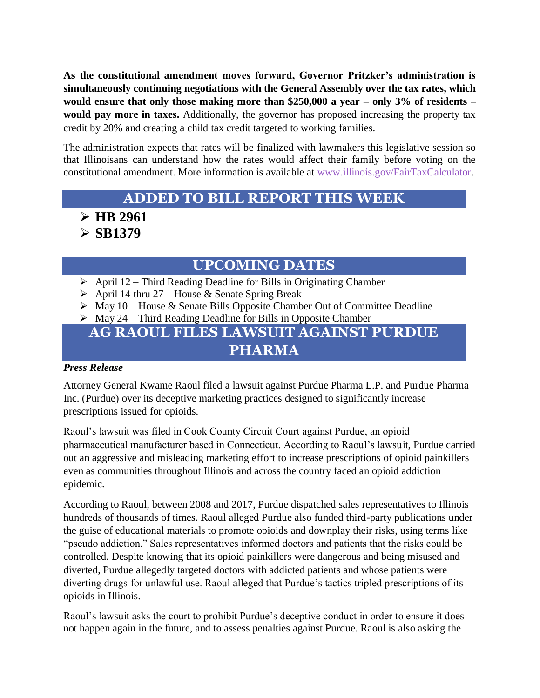**As the constitutional amendment moves forward, Governor Pritzker's administration is simultaneously continuing negotiations with the General Assembly over the tax rates, which would ensure that only those making more than \$250,000 a year – only 3% of residents – would pay more in taxes.** Additionally, the governor has proposed increasing the property tax credit by 20% and creating a child tax credit targeted to working families.

The administration expects that rates will be finalized with lawmakers this legislative session so that Illinoisans can understand how the rates would affect their family before voting on the constitutional amendment. More information is available at [www.illinois.gov/FairTaxCalculator.](http://www.illinois.gov/FairTaxCalculator)

## **ADDED TO BILL REPORT THIS WEEK**

➢ **HB 2961**

➢ **SB1379**

## **UPCOMING DATES**

- $\triangleright$  April 12 Third Reading Deadline for Bills in Originating Chamber
- $\triangleright$  April 14 thru 27 House & Senate Spring Break
- ➢ May 10 House & Senate Bills Opposite Chamber Out of Committee Deadline
- $\triangleright$  May 24 Third Reading Deadline for Bills in Opposite Chamber

## **AG RAOUL FILES LAWSUIT AGAINST PURDUE PHARMA**

### *Press Release*

Attorney General Kwame Raoul filed a lawsuit against Purdue Pharma L.P. and Purdue Pharma Inc. (Purdue) over its deceptive marketing practices designed to significantly increase prescriptions issued for opioids.

Raoul's lawsuit was filed in Cook County Circuit Court against Purdue, an opioid pharmaceutical manufacturer based in Connecticut. According to Raoul's lawsuit, Purdue carried out an aggressive and misleading marketing effort to increase prescriptions of opioid painkillers even as communities throughout Illinois and across the country faced an opioid addiction epidemic.

According to Raoul, between 2008 and 2017, Purdue dispatched sales representatives to Illinois hundreds of thousands of times. Raoul alleged Purdue also funded third-party publications under the guise of educational materials to promote opioids and downplay their risks, using terms like "pseudo addiction." Sales representatives informed doctors and patients that the risks could be controlled. Despite knowing that its opioid painkillers were dangerous and being misused and diverted, Purdue allegedly targeted doctors with addicted patients and whose patients were diverting drugs for unlawful use. Raoul alleged that Purdue's tactics tripled prescriptions of its opioids in Illinois.

Raoul's lawsuit asks the court to prohibit Purdue's deceptive conduct in order to ensure it does not happen again in the future, and to assess penalties against Purdue. Raoul is also asking the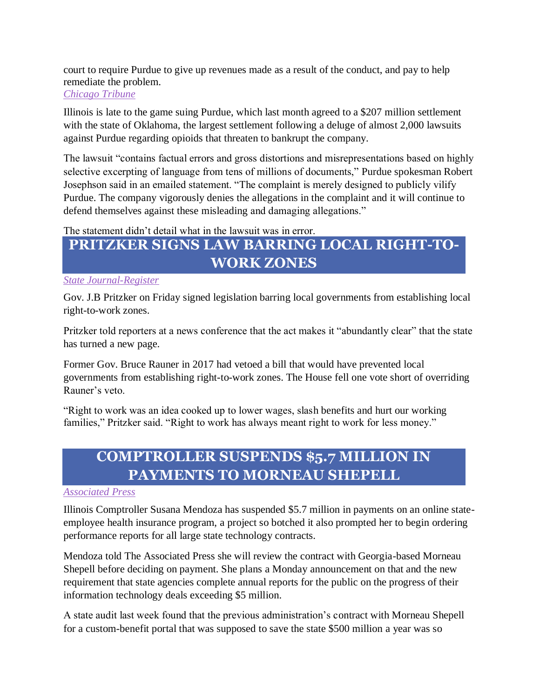court to require Purdue to give up revenues made as a result of the conduct, and pay to help remediate the problem.

#### *[Chicago Tribune](https://www.chicagotribune.com/news/local/breaking/ct-met-illinois-opioid-lawsuit-purdue-pharma-20190408-story.html)*

Illinois is late to the game suing Purdue, which last month agreed to a \$207 million settlement with the state of Oklahoma, the largest settlement following a deluge of almost 2,000 lawsuits against Purdue regarding opioids that threaten to bankrupt the company.

The lawsuit "contains factual errors and gross distortions and misrepresentations based on highly selective excerpting of language from tens of millions of documents," Purdue spokesman Robert Josephson said in an emailed statement. "The complaint is merely designed to publicly vilify Purdue. The company vigorously denies the allegations in the complaint and it will continue to defend themselves against these misleading and damaging allegations."

The statement didn't detail what in the lawsuit was in error.

# **PRITZKER SIGNS LAW BARRING LOCAL RIGHT-TO-WORK ZONES**

### *[State Journal-Register](https://www.sj-r.com/news/20190412/pritzker-signs-law-barring-local-right-to-work-zones)*

Gov. J.B Pritzker on Friday signed legislation barring local governments from establishing local right-to-work zones.

Pritzker told reporters at a news conference that the act makes it "abundantly clear" that the state has turned a new page.

Former Gov. Bruce Rauner in 2017 had vetoed a bill that would have prevented local governments from establishing right-to-work zones. The House fell one vote short of overriding Rauner's veto.

"Right to work was an idea cooked up to lower wages, slash benefits and hurt our working families," Pritzker said. "Right to work has always meant right to work for less money."

## **COMPTROLLER SUSPENDS \$5.7 MILLION IN PAYMENTS TO MORNEAU SHEPELL**

#### *[Associated](https://www.sj-r.com/news/20190407/comptroller-orders-progress-reports-on-technology-contracts) Press*

Illinois Comptroller Susana Mendoza has suspended \$5.7 million in payments on an online stateemployee health insurance program, a project so botched it also prompted her to begin ordering performance reports for all large state technology contracts.

Mendoza told The Associated Press she will review the contract with Georgia-based Morneau Shepell before deciding on payment. She plans a Monday announcement on that and the new requirement that state agencies complete annual reports for the public on the progress of their information technology deals exceeding \$5 million.

A state audit last week found that the previous administration's contract with Morneau Shepell for a custom-benefit portal that was supposed to save the state \$500 million a year was so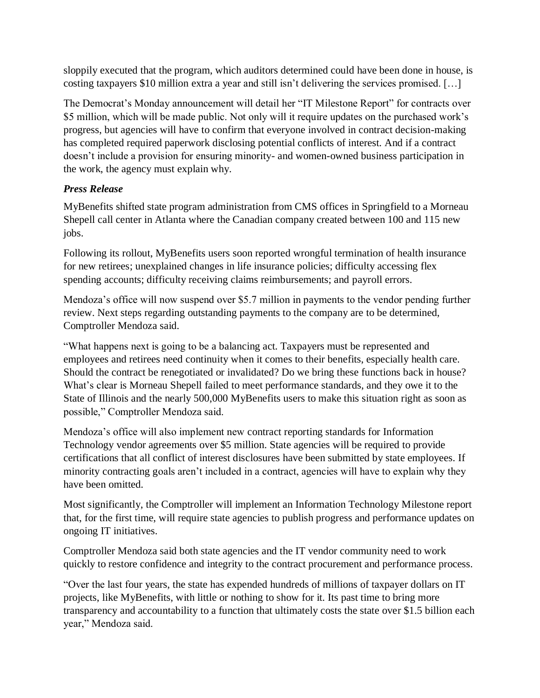sloppily executed that the program, which auditors determined could have been done in house, is costing taxpayers \$10 million extra a year and still isn't delivering the services promised. […]

The Democrat's Monday announcement will detail her "IT Milestone Report" for contracts over \$5 million, which will be made public. Not only will it require updates on the purchased work's progress, but agencies will have to confirm that everyone involved in contract decision-making has completed required paperwork disclosing potential conflicts of interest. And if a contract doesn't include a provision for ensuring minority- and women-owned business participation in the work, the agency must explain why.

### *Press Release*

MyBenefits shifted state program administration from CMS offices in Springfield to a Morneau Shepell call center in Atlanta where the Canadian company created between 100 and 115 new jobs.

Following its rollout, MyBenefits users soon reported wrongful termination of health insurance for new retirees; unexplained changes in life insurance policies; difficulty accessing flex spending accounts; difficulty receiving claims reimbursements; and payroll errors.

Mendoza's office will now suspend over \$5.7 million in payments to the vendor pending further review. Next steps regarding outstanding payments to the company are to be determined, Comptroller Mendoza said.

"What happens next is going to be a balancing act. Taxpayers must be represented and employees and retirees need continuity when it comes to their benefits, especially health care. Should the contract be renegotiated or invalidated? Do we bring these functions back in house? What's clear is Morneau Shepell failed to meet performance standards, and they owe it to the State of Illinois and the nearly 500,000 MyBenefits users to make this situation right as soon as possible," Comptroller Mendoza said.

Mendoza's office will also implement new contract reporting standards for Information Technology vendor agreements over \$5 million. State agencies will be required to provide certifications that all conflict of interest disclosures have been submitted by state employees. If minority contracting goals aren't included in a contract, agencies will have to explain why they have been omitted.

Most significantly, the Comptroller will implement an Information Technology Milestone report that, for the first time, will require state agencies to publish progress and performance updates on ongoing IT initiatives.

Comptroller Mendoza said both state agencies and the IT vendor community need to work quickly to restore confidence and integrity to the contract procurement and performance process.

"Over the last four years, the state has expended hundreds of millions of taxpayer dollars on IT projects, like MyBenefits, with little or nothing to show for it. Its past time to bring more transparency and accountability to a function that ultimately costs the state over \$1.5 billion each year," Mendoza said.